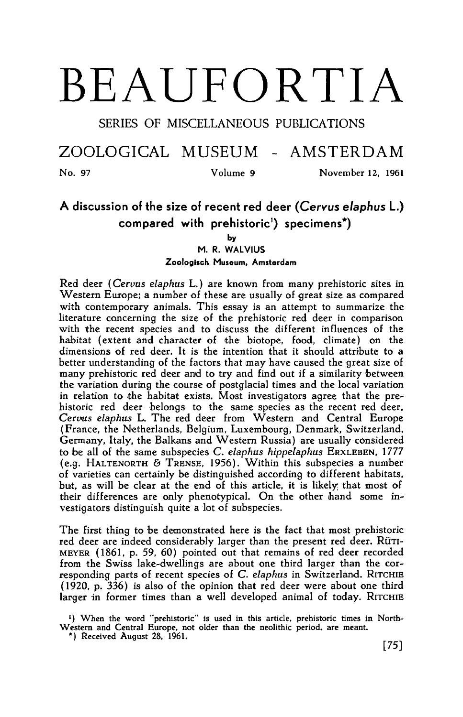## BEAUFORTIA

SERIES OF MISCELLANEOUS PUBLICATIONS

ZOOLOGICAL MUSEUM - AMSTERDAM

No. <sup>97</sup> Volume <sup>9</sup> November 12, <sup>1961</sup>

## A discussion of the size of recent red deer (Cervus elaphus L.) compared with prehistoric<sup>1</sup>) specimens<sup>\*</sup>)

by

M. R. Walvius Zoologisch Museum, Amsterdam

Red deer (Cervus elaphus L.) are known from many prehistoric sites in Western Europe; a number of these are usually of great size as compared with contemporary animals. This essay is an attempt to summarize the literature concerning the size of the prehistoric red deer in comparison with the recent species and to discuss the different influences of the habitat (extent and character of the biotope, food, climate) on the dimensions of red deer. It is the intention that it should attribute to <sup>a</sup> better understanding of the factors that may have caused the great size of many prehistoric red deer and to try and find out if <sup>a</sup> similarity between the variation during the course of postglacial times and the local variation in relation to the habitat exists. Most investigators agree that the prehistoric red deer belongs to the same species as the recent red deer. Cervus elaphus L. The red deer from Western and Central Europe (France, the Netherlands, Belgium, Luxembourg, Denmark, Switzerland. Germany, Italy, the Balkans and Western Russia) are usually considered to be all of the same subspecies C. elaphus hippelaphus ERXLEBEN, <sup>1777</sup> (e.g. HALTENORTH & TRENSE, 1956). Within this subspecies a number of varieties can certainly be distinguished according to different habitats, but, as will be clear at the end of this article, it is likely that most of their differences are only phenotypical. On the other hand some investigators distinguish quite <sup>a</sup> lot of subspecies.

The first thing to be demonstrated here is the fact that most prehistoric red deer are indeed considerably larger than the present red deer. RÜTI-MEYER (1861, p. 59, 60) pointed out that remains of red deer recorded from the Swiss lake-dwellings are about one third larger than the corresponding parts of recent species of C. elaphus in Switzerland. RITCHIE (1920, p. 336) is also of the opinion that red deer were about one third larger in former times than a well developed animal of today. RITCHIE

\*) When the word "prehistoric" is used in this article, prehistoric times in North-Western and Central Europe, not older than the neolithic period, are meant.

\*) Received August 28, 1961.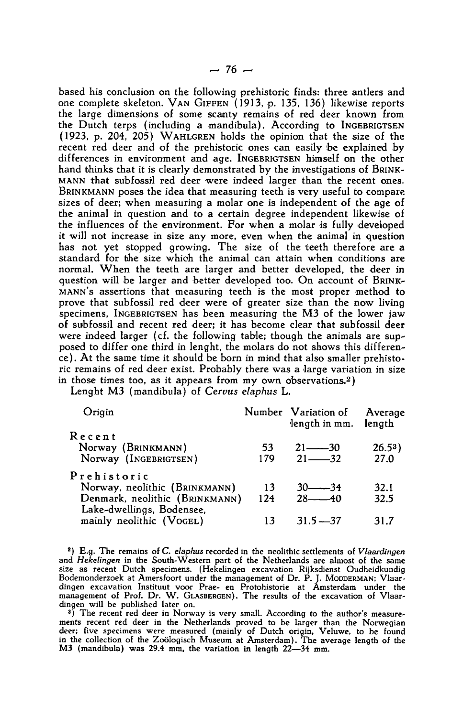based his conclusion on the following prehistoric finds: three antlers and one complete skeleton. VAN GIFFEN (1913, p. 135, 136) likewise reports the large dimensions of some scanty remains of red deer known from the Dutch terps (including a mandibula). According to INGEBRIGTSEN (1923, p. 204, 205) WAHLGREN holds the opinion that the size of the recent red deer and of the prehistoric ones can easily be explained by differences in environment and age. INGEBRIGTSEN himself on the other hand thinks that it is clearly demonstrated by the investigations of BRINK-MANN that subfossil red deer were indeed larger than the recent ones. BRINKMANN poses the idea that measuring teeth is very useful to compare sizes of deer; when measuring <sup>a</sup> molar one is independent of the age of the animal in question and to a certain degree independent likewise of the influences of the environment. For when <sup>a</sup> molar is fully developed it will not increase in size any more, even when the animal in question has not yet stopped growing. The size of the teeth therefore are a standard for the size which the animal can attain when conditions are normal. When the teeth are larger and better developed, the deer in question will be larger and better developed too. On account of BRINK-MANN'S assertions that measuring teeth is the most proper method to prove that subfossil red deer were of greater size than the now living specimens, INGEBRIGTSEN has been measuring the M3 of the lower jaw of subfossil and recent red deer; it has become clear that subfossil deer were indeed larger (cf. the following table; though the animals are supposed to differ one third in lenght, the molars do not shows this difference). At the same time it should be born in mind that also smaller prehistoric remains of red deer exist. Probably there was a large variation in size in those times too, as it appears from my own observations.2 )

Lenght M3 (mandibula) of Cervus elaphus L.

| Origin                         |     | Number Variation of<br>length in mm. length | Average   |
|--------------------------------|-----|---------------------------------------------|-----------|
| Recent                         |     |                                             |           |
| Norway (BRINKMANN)             | 53  | $21 - 30$                                   | $26.53$ ) |
| Norway (INGEBRIGTSEN)          | 179 | $21 - 32$                                   | 27.0      |
| Prehistoric                    |     |                                             |           |
| Norway, neolithic (BRINKMANN)  | 13  | $30$ $-34$                                  | 32.1      |
| Denmark, neolithic (BRINKMANN) | 124 | $28 - 40$                                   | 32.5      |
| Lake-dwellings, Bodensee,      |     |                                             |           |
| mainly neolithic (VOGEL)       | 13  | $31.5 - 37$                                 | 31.7      |
|                                |     |                                             |           |

 $2)$  E.g. The remains of C. elaphus recorded in the neolithic settlements of Vlaardingen and Hekelingen in the South-Western part of the Netherlands are almost of the same size as recent Dutch specimens. (Hekelingen excavation Rijksdienst Oudheidkundig Bodemonderzoek at Amersfoort under the management of Dr. P. J. Mobberwany, Vlaar-<br>dingen excavation Instituut voor Prae- en Protohistorie at Amsterdam under the<br>management of Prof. Dr. W. GLASBERGEN). The results of the ex dingen will be published later on.

<sup>3</sup>) The recent red deer in Norway is very small. According to the author's measurements recent red deer in the Netherlands proved to be larger than the Norwegian deer; five specimens were measured (mainly of Dutch origin, Veluwe, to be found in the collection of the Zoologisch Museum at Amsterdam). The average length of the M3 (mandibula) was 29.4 mm, the variation in length 22—34 mm.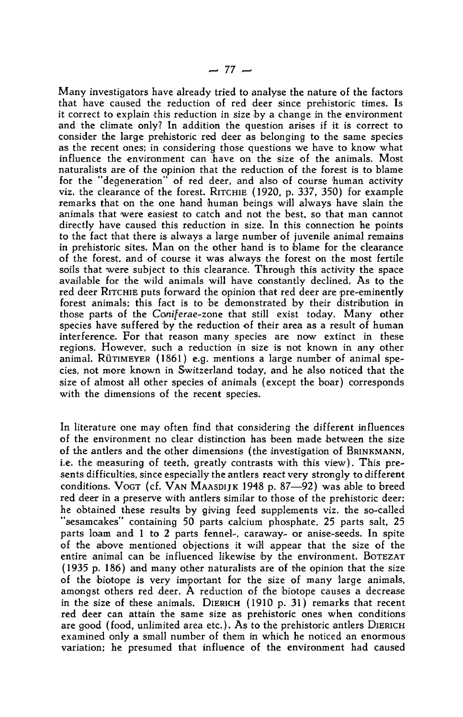Many investigators have already tried to analyse the nature of the factors that have caused the reduction of red deer since prehistoric times. Is it correct to explain this reduction in size by <sup>a</sup> change in the environment and the climate only? In addition the question arises if it is correct to consider the large prehistoric red deer as belonging to the same species as the recent ones; in considering those questions we have to know what influence the environment can have on the size of the animals. Most naturalists are of the opinion that the reduction of the forest is to blame for the "degeneration" of red deer, and also of course human activity viz. the clearance of the forest. RITCHIE (1920, p. 337, 350) for example remarks that on the one hand human beings will always have slain the animals that were easiest to catch and not the best, so that man cannot directly have caused this reduction in size. In this connection he points to the fact that there is always <sup>a</sup> large number of juvenile animal remains in prehistoric sites. Man on the other hand is to blame for the clearance of the forest, and of course it was always the forest on the most fertile soils that were subject to this clearance. Through this activity the space available for the wild animals will have constantly declined. As to the red deer RITCHIE puts forward the opinion that red deer are pre-eminently forest animals; this fact is to be demonstrated by their distribution in those parts of the Coniferae- zone that still exist today. Many other species have suffered by the reduction of their area as <sup>a</sup> result of human interference. For that reason many species are now extinct in these regions. However, such <sup>a</sup> reduction in size is not known in any other animal. RÜTIMEYER (1861) e.g. mentions <sup>a</sup> large number of animal species, not more known in Switzerland today, and he also noticed that the size of almost all other species of animals (except the boar) corresponds with the dimensions of the recent species.

In literature one may often find that considering the different influences of the environment no clear distinction has been made between the size of the antlers and the other dimensions (the investigation of BRINKMANN, i.e. the measuring of teeth, greatly contrasts with this view). This presents difficulties, since especially the antlers react very strongly to different conditions. VOGT (cf. VAN MAASDIJK 1948 p. 87—92) was able to breed red deer in <sup>a</sup> preserve with antlers similar to those of the prehistoric deer; he obtained these results by giving feed supplements viz. the so-called "sesamcakes" containing 50 parts calcium phosphate, <sup>25</sup> parts salt, <sup>25</sup> parts loam and <sup>1</sup> to <sup>2</sup> parts fennel-, caraway- or anise-seeds. In spite of the above mentioned objections it will appear that the size of the entire animal can be influenced likewise by the environment. BOTEZAT (1935 p. 186) and many other naturalists are of the opinion that the size of the biotope is very important for the size of many large animals, amongst others red deer. A reduction of the biotope causes a decrease in the size of these animals. DIERICH (1910 p. 31) remarks that recent red deer can attain the same size as prehistoric ones when conditions are good (food, unlimited area etc.). As to the prehistoric antlers DIERICH examined only a small number of them in which he noticed an enormous variation; he presumed that influence of the environment had caused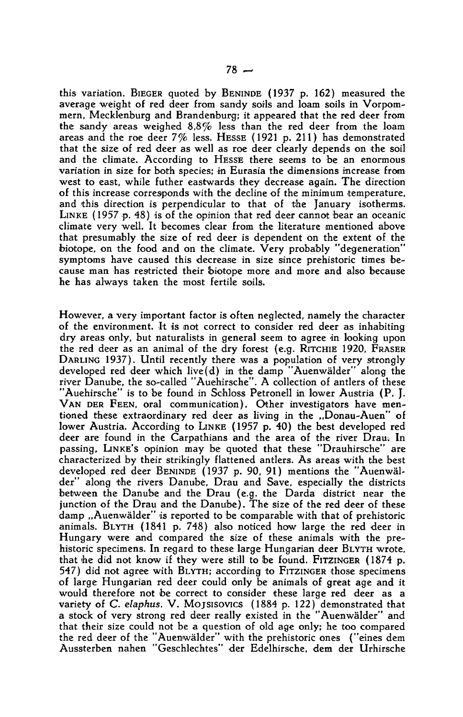this variation. BIEGER quoted by BENINDE (1937 p. 162) measured the average weight of red deer from sandy soils and loam soils in Vorpommern, Mecklenburg and Brandenburg; it appeared that the red deer from the sandy areas weighed 8,8% less than the red deer from the loam areas and the roe deer 7% less. HESSE (1921 p. 211) has demonstrated that the size of red deer as well as roe deer clearly depends on the soil and the climate. According to HESSE there seems to be an enormous variation in size for both species; in Eurasia the dimensions increase from west to east, while futher eastwards they decrease again. The direction of this increase corresponds with the decline of the minimum temperature, and this direction is perpendicular to that of the January isotherms. LINKE ( <sup>1957</sup> p. 48) is of the opinion that red deer cannot bear an oceanic climate very well. It becomes clear from the literature mentioned above that presumably the size of red deer is dependent on the extent of the biotope, on the food and on the climate. Very probably "degeneration" symptoms have caused this decrease in size since prehistoric times because man has restricted their biotope more and more and also because he has always taken the most fertile soils.

However, <sup>a</sup> very important factor is often neglected, namely the character of the environment. It is not correct to consider red deer as inhabiting dry areas only, but naturalists in general seem to agree in looking upon the red deer as an animal of the dry forest (e.g. RITCHIE 1920, FRASER DARLING 1937). Until recently there was a population of very strongly developed red deer which live(d) in the damp "Auenwälder" along the river Danube, the so-called "Auehirsche". A collection of antlers of these "Auehirsche" is to be found in Schloss Petronell in lower Austria (P. J. VAN DER FEEN, oral communication). Other investigators have mentioned these extraordinary red deer as living in the ,,Donau-Auen" of lower Austria. According to LINKE (1957 p. 40) the best developed red deer are found in the Carpathians and the area of the river Drau. In passing, LINKE'S opinion may be quoted that these "Drauhirsche" are characterized by their strikingly flattened antlers. As areas with the best developed red deer BENINDE (1937 p. 90, 91) mentions the "Auenwälder" along the rivers Danube, Drau and Save, especially the districts between the Danube and the Drau (e.g. the Darda district near the junction of the Drau and the Danube). The size of the red deer of these damp ...Auenwälder" is reported to be comparable with that of prehistoric animals. BLYTH (1841 p. 748) also noticed how large the red deer in Hungary were and compared the size of these animals with the prehistoric specimens. In regard to these large Hungarian deer BLYTH wrote, that he did not know if they were still to be found. FITZINGER (1874 p. 547) did not agree with BLYTH; according to FITZINGER those specimens of large Hungarian red deer could only be animals of great age and it would therefore not be correct to consider these large red deer as a variety of C. elaphus. V. Mojsisovics (1884 p. 122) demonstrated that a stock of very strong red deer really existed in the "Auenwälder" and that their size could not be <sup>a</sup> question of old age only; he too compared the red deer of the "Auenwälder" with the prehistoric ones ("eines dem Aussterben nahen "Geschlechtes" der Edelhirsche, dem der Urhirsche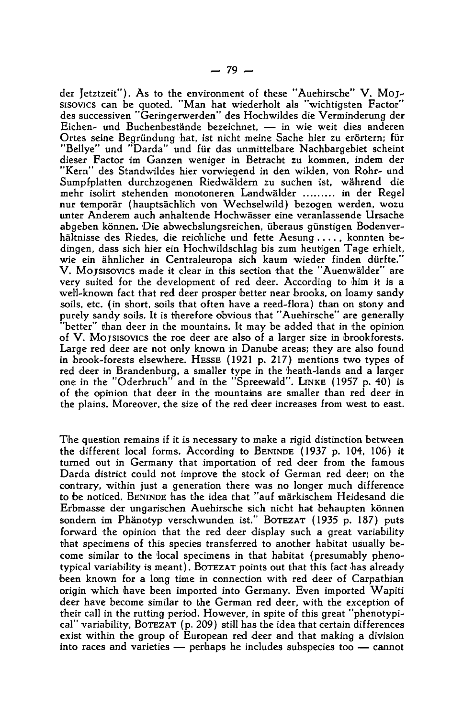der Jetztzeit"). As to the environment of these "Auehirsche" V. Mojsisovics can be quoted. "Man hat wiederholt als "wichtigsten Factor" des successiven "Geringerwerden" des Hochwildes die Verminderung der Eichen- und Buchenbestände bezeichnet, — in wie weit dies anderen Ortes seine Begründung hat, ist nicht meine Sache hier zu erörtern; für "Bellye" und "Darda" und für das unmittelbare Nachbargebiet scheint dieser Factor im Ganzen weniger in Betracht zu kommen, indem der "Kern" des Standwildes hier vorwiegend in den wilden, von Rohr- und Sumpfplatten durchzogenen Riedwäldern zu suchen ist, während die mehr isolirt stehenden monotoneren Landwälder ........ in der Regel nur temporär (hauptsächlich von Wechselwild) bezogen werden, wozu unter Anderem auch anhaltende Hochwässer eine veranlassende Ursache abgeben können. Die abwechslungsreichen, überaus günstigen Bodenverhältnisse des Riedes, die reichliche und fette Aesung ...., konnten bedingen, dass sich hier ein Hochwildschlag bis zum heutigen Tage erhielt, wie ein ähnlicher in Centraieuropa sich kaum wieder finden dürfte." V. Mojsisovics made it clear in this section that the "Auenwälder" are very suited for the development of red deer. According to him it is <sup>a</sup> well-known fact that red deer prosper better near brooks, on loamy sandy soils, etc. (in short, soils that often have <sup>a</sup> reed-flora) than on stony and purely sandy soils. It is therefore obvious that "Auehirsche" are generally "better" than deer in the mountains. It may be added that in the opinion of V. MOJSISOVICS the roe deer are also of a larger size in brookforests. Large red deer are not only known in Danube areas; they are also found in brook-forests elsewhere. HESSE (1921 p. 217) mentions two types of red deer in Brandenburg, a smaller type in the heath-lands and a larger one in the "Oderbruch" and in the "Spreewald". LINKE (1957 p. 40) is of the opinion that deer in the mountains are smaller than red deer in the plains. Moreover, the size of the red deer increases from west to east.

The question remains if it is necessary to make <sup>a</sup> rigid distinction between the different local forms. According to BENINDE (1937 p. 104, 106) it turned out in Germany that importation of red deer from the famous Darda district could not improve the stock of German red deer; on the contrary, within just <sup>a</sup> generation there was no longer much difference to be noticed. BENINDE has the idea that "auf märkischem Heidesand die Efbmasse der ungarischen Auehirsche sich nicht hat behaupten können sondern im Phänotyp verschwunden ist." BOTEZAT (1935 p. 187) puts forward the opinion that the red deer display such a great variability that specimens of this species transferred to another habitat usually become similar to the local specimens in that habitat (presumably phenotypical variability is meant). BOTEZAT points out that this fact has already been known for a long time in connection with red deer of Carpathian origin which have been imported into Germany. Even imported Wapiti deer have become similar to the German red deer, with the exception of their call in the rutting period. However, in spite of this great "phenotypical" variability, BOTEZAT (p. 209) still has the idea that certain differences exist within the group of European red deer and that making <sup>a</sup> division into races and varieties — perhaps he includes subspecies too — cannot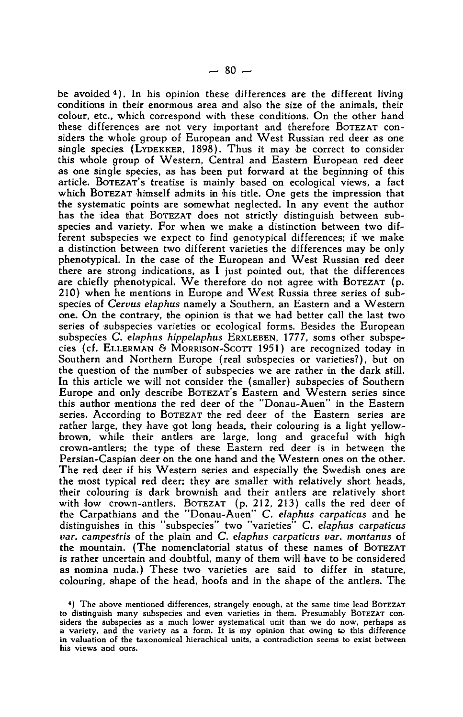be avoided  $4$ ). In his opinion these differences are the different living conditions in their enormous area and also the size of the animals, their colour, etc., which correspond with these conditions. On the other hand these differences are not very important and therefore BOTEZAT considers the whole group of European and West Russian red deer as one single species (LYDEKKER, 1898). Thus it may be correct to consider this wihole group of Western, Central and Eastern European red deer as one single species, as has been put forward at the beginning of this article. BOTEZAT'S treatise is mainly based on ecological views, a fact which BOTEZAT himself admits in his title. One gets the impression that the systematic points are somewhat neglected. In any event the author has the idea that BOTEZAT does not strictly distinguish between subspecies and variety. For when we make <sup>a</sup> distinction between two different subspecies we expect to find genotypical differences; if we make <sup>a</sup> distinction between two different varieties the differences may be only phenotypical. In the case of the European and West Russian red deer there are strong indications, as  $\bf{l}$  just pointed out, that the differences are chiefly phenotypical. We therefore do not agree with BOTEZAT (p. 210) when he mentions in Europe and West Russia three series of subspecies of Cervus elaphus namely <sup>a</sup> Southern, an Eastern and <sup>a</sup> Western one. On the contrary, the opinion is that we had better call the last two series of subspecies varieties or ecological forms. Besides the European subspecies C. elaphus hippelaphus ERXLEBEN, 1777, soms other subspecies (cf. ELLERMAN & MORRISON-SCOTT 1951) are recognized today in Southern and Northern Europe (real subspecies or varieties?), but on the question of the number of subspecies we are rather in the dark still. In this article we will not consider the (smaller) subspecies of Southern Europe and only describe BOTEZAT'S Eastern and Western series since this author mentions the red deer of the "Donau-Auen" in the Eastern series. According to BOTEZAT the red deer of the Eastern series are rather large, they have got long heads, their colouring is a light yellowbrown, while their antlers are large, long and graceful with high crown-antlers; the type of these Eastern red deer is in between the Persian-Caspian deer on the one hand and the Western ones on the other. The red deer if his Western series and especially the Swedish ones are the most typical red deer; they are smaller with relatively short heads, their colouring is dark brownish and their antlers are relatively short with low crown-antlers. BOTEZAT (p. 212, 213) calls the red deer of the Carpathians and the "Donau-Auen" C. elaphus carpaticus and he the Carpathians and the Donau-Auen C. *elaphus carpaticus* and he<br>distinguishes in this "subspecies" two "varieties" C. *elaphus carpaticus* var. campestris of the plain and C. elaphus carpaticus var. montanus of the mountain. (The nomenclatorial status of these names of BOTEZAT is rather uncertain and doubtful, many of them will have to be considered as nomina nuda.) These two varieties are said to differ in stature, colouring, shape of the head, hoofs and in the shape of the antlers. The

<sup>4</sup> ) The above mentioned differences, strangely enough, at the same time lead BOTEZAT to distinguish many subspecies and even varieties in them. Presumably BOTEZAT considers the subspecies as a much lower systematical unit than we do now, perhaps as <sup>a</sup> variety, and the variety as <sup>a</sup> form. It is my opinion that owing to this difference in valuation of the taxonomical hierachical units, a contradiction seems to exist between his views and ours.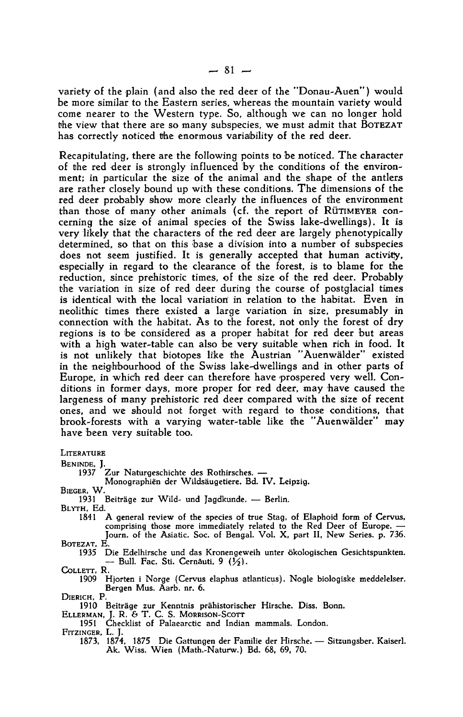variety of the plain (and also the red deer of the "Donau-Auen") would be more similar to the Eastern series, whereas the mountain variety would come nearer to the Western type. So, although we can no longer hold the view that there are so many subspecies, we must admit that BOTEZAT has correctly noticed the enormous variability of the red deer.

Recapitulating, there are the following points to be noticed. The character of the red deer is strongly influenced by the conditions of the environment; in particular the size of the animal and the shape of the antlers are rather closely bound up with these conditions. The dimensions of the red deer probably show more clearly the influences of the environment than those of many other animals (cf. the report of RÜTIMEYER concerning the size of animal species of the Swiss lake-dwellings). It is very likely that the characters of the red deer are largely phenotypically determined, so that on this base a division into a number of subspecies does not seem justified. It is generally accepted that human activity, especially in regard to the clearance of the forest, is to blame for the reduction, since prehistoric times, of the size of the red deer. Probably the variation in size of red deer during the course of postglacial times is identical with the local variation in relation to the habitat. Even in neolithic times there existed a large variation in size, presumably in connection with the habitat. As to the forest, not only the forest of dry regions is to be considered as <sup>a</sup> proper habitat for red deer but areas with a high water-table can also be very suitable when rich in food. It is not unlikely that biotopes like the Austrian "Auenwälder" existed in the neighbourhood of the Swiss lake-dwellings and in other parts of Europe, in whidh red deer can therefore have prospered very well. Conditions in former days, more proper for red deer, may have caused the largeness of many prehistoric red deer compared with the size of recent ones, and we should not forget with regard to those conditions, that brook-forests with a varying water-table like the "Auenwälder" may have been very suitable too.

## **LITERATURE**

BENINDE, J. <sup>1937</sup> Zur Naturgeschichte des Rothirsches. —

Monographien der Wildsäugetiere. Bd. IV. Leipzig.

BIEGER, W.

<sup>1931</sup> Beiträge zur Wild- und Jagdkunde. — Berlin.

BLYTH, Ed.

- <sup>1841</sup> A general review of the species of true Stag, of Elaphoid form of Cervus, comprising those more immediately related to the Red Deer of Europe. — Journ. of the Asiatic. Soc. of Bengal. Vol. X, part II, New Series, p. 736. BOTEZAT, E.
	- 1935 Die Edelhirsche und das Kronengeweih unter ökologischen Gesichtspunkten.  $-$  Bull. Fac. Sti. Cernăuti, 9  $(\frac{1}{2})$ .

COLLETT, R.

<sup>1909</sup> Hjorten i Norge (Cervus elaphus atlanticus). Nogle biologiske meddelelser. Bergen Mus. Aarb. nr. 6.

DIERICH, P.

- <sup>1910</sup> Beiträge zur Kenntnis prähistorischer Hirsche. Diss. Bonn.
- ELLERMAN, J. R. & T. C. S. MORRISON-SCOTT
- 1951 Checklist of Palaearctic and Indian mammals. London.
- FITZINGER, L. J.
	- 1873, 1874, <sup>1875</sup> Die Gattungen der Familie der Hirsche. Sitzungsber. Kaiserl. Ak. Wiss. Wien (Math.-Naturw.) Bd. 68, 69, 70.